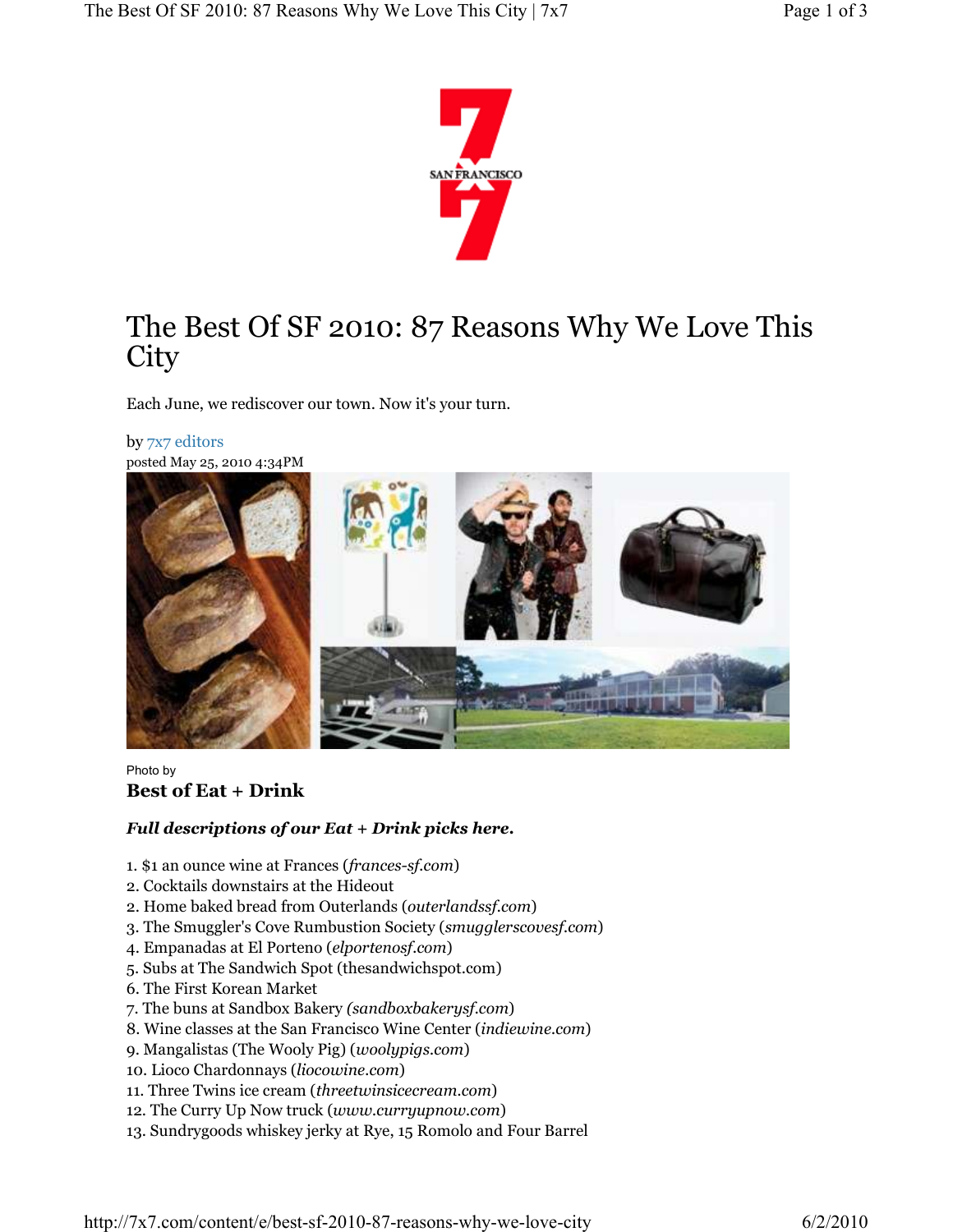

# The Best Of SF 2010: 87 Reasons Why We Love This **City**

Each June, we rediscover our town. Now it's your turn.

#### by 7x7 editors

posted May 25, 2010 4:34PM



#### Photo by Best of Eat + Drink

#### Full descriptions of our Eat + Drink picks here.

- 1. \$1 an ounce wine at Frances (frances-sf.com)
- 2. Cocktails downstairs at the Hideout
- 2. Home baked bread from Outerlands (outerlandssf.com)
- 3. The Smuggler's Cove Rumbustion Society (smugglerscovesf.com)
- 4. Empanadas at El Porteno (elportenosf.com)
- 5. Subs at The Sandwich Spot (thesandwichspot.com)
- 6. The First Korean Market
- 7. The buns at Sandbox Bakery (sandboxbakerysf.com)
- 8. Wine classes at the San Francisco Wine Center (indiewine.com)
- 9. Mangalistas (The Wooly Pig) (woolypigs.com)
- 10. Lioco Chardonnays (liocowine.com)
- 11. Three Twins ice cream (threetwinsicecream.com)
- 12. The Curry Up Now truck (www.curryupnow.com)
- 13. Sundrygoods whiskey jerky at Rye, 15 Romolo and Four Barrel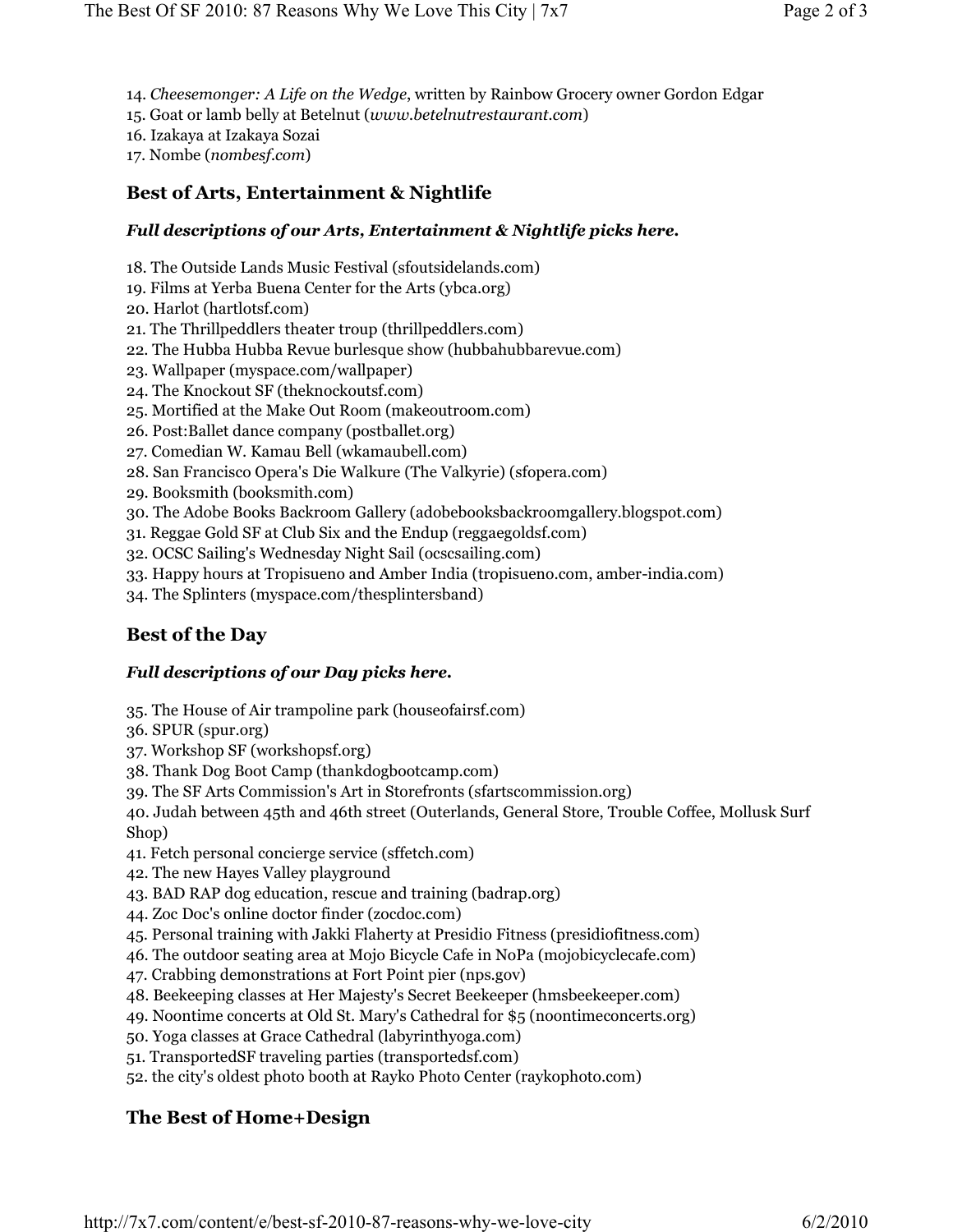- 14. Cheesemonger: A Life on the Wedge, written by Rainbow Grocery owner Gordon Edgar
- 15. Goat or lamb belly at Betelnut (www.betelnutrestaurant.com)
- 16. Izakaya at Izakaya Sozai
- 17. Nombe (nombesf.com)

## Best of Arts, Entertainment & Nightlife

#### Full descriptions of our Arts, Entertainment & Nightlife picks here.

- 18. The Outside Lands Music Festival (sfoutsidelands.com)
- 19. Films at Yerba Buena Center for the Arts (ybca.org)
- 20. Harlot (hartlotsf.com)
- 21. The Thrillpeddlers theater troup (thrillpeddlers.com)
- 22. The Hubba Hubba Revue burlesque show (hubbahubbarevue.com)
- 23. Wallpaper (myspace.com/wallpaper)
- 24. The Knockout SF (theknockoutsf.com)
- 25. Mortified at the Make Out Room (makeoutroom.com)
- 26. Post:Ballet dance company (postballet.org)
- 27. Comedian W. Kamau Bell (wkamaubell.com)
- 28. San Francisco Opera's Die Walkure (The Valkyrie) (sfopera.com)
- 29. Booksmith (booksmith.com)
- 30. The Adobe Books Backroom Gallery (adobebooksbackroomgallery.blogspot.com)
- 31. Reggae Gold SF at Club Six and the Endup (reggaegoldsf.com)
- 32. OCSC Sailing's Wednesday Night Sail (ocscsailing.com)
- 33. Happy hours at Tropisueno and Amber India (tropisueno.com, amber-india.com)
- 34. The Splinters (myspace.com/thesplintersband)

## Best of the Day

#### Full descriptions of our Day picks here.

- 35. The House of Air trampoline park (houseofairsf.com)
- 36. SPUR (spur.org)
- 37. Workshop SF (workshopsf.org)
- 38. Thank Dog Boot Camp (thankdogbootcamp.com)
- 39. The SF Arts Commission's Art in Storefronts (sfartscommission.org)

40. Judah between 45th and 46th street (Outerlands, General Store, Trouble Coffee, Mollusk Surf Shop)

- 41. Fetch personal concierge service (sffetch.com)
- 42. The new Hayes Valley playground
- 43. BAD RAP dog education, rescue and training (badrap.org)
- 44. Zoc Doc's online doctor finder (zocdoc.com)
- 45. Personal training with Jakki Flaherty at Presidio Fitness (presidiofitness.com)
- 46. The outdoor seating area at Mojo Bicycle Cafe in NoPa (mojobicyclecafe.com)
- 47. Crabbing demonstrations at Fort Point pier (nps.gov)
- 48. Beekeeping classes at Her Majesty's Secret Beekeeper (hmsbeekeeper.com)
- 49. Noontime concerts at Old St. Mary's Cathedral for \$5 (noontimeconcerts.org)
- 50. Yoga classes at Grace Cathedral (labyrinthyoga.com)
- 51. TransportedSF traveling parties (transportedsf.com)
- 52. the city's oldest photo booth at Rayko Photo Center (raykophoto.com)

## The Best of Home+Design